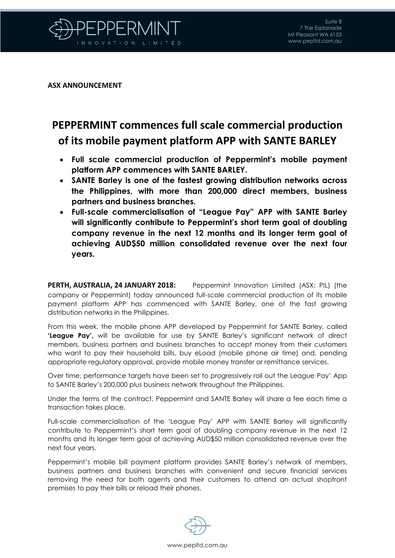

**ASX ANNOUNCEMENT**

## **PEPPERMINT commences full scale commercial production of its mobile payment platform APP with SANTE BARLEY**

- **Full scale commercial production of Peppermint's mobile payment platform APP commences with SANTE BARLEY.**
- **SANTE Barley is one of the fastest growing distribution networks across the Philippines, with more than 200,000 direct members, business partners and business branches.**
- **Full-scale commercialisation of "League Pay" APP with SANTE Barley will significantly contribute to Peppermint's short term goal of doubling company revenue in the next 12 months and its longer term goal of achieving AUD\$50 million consolidated revenue over the next four years.**

**PERTH, AUSTRALIA, 24 JANUARY 2018:** Peppermint Innovation Limited (ASX: PIL) (the company or Peppermint) today announced full-scale commercial production of its mobile payment platform APP has commenced with SANTE Barley, one of the fast growing distribution networks in the Philippines.

From this week, the mobile phone APP developed by Peppermint for SANTE Barley, called **'League Pay',** will be available for use by SANTE Barley's significant network of direct members, business partners and business branches to accept money from their customers who want to pay their household bills, buy eLoad (mobile phone air time) and, pending appropriate regulatory approval, provide mobile money transfer or remittance services.

Over time, performance targets have been set to progressively roll out the League Pay' App to SANTE Barley's 200,000 plus business network throughout the Philippines.

Under the terms of the contract, Peppermint and SANTE Barley will share a fee each time a transaction takes place.

Full-scale commercialisation of the 'League Pay' APP with SANTE Barley will significantly contribute to Peppermint's short term goal of doubling company revenue in the next 12 months and its longer term goal of achieving AUD\$50 million consolidated revenue over the next four years.

Peppermint's mobile bill payment platform provides SANTE Barley's network of members, business partners and business branches with convenient and secure financial services removing the need for both agents and their customers to attend an actual shopfront premises to pay their bills or reload their phones.

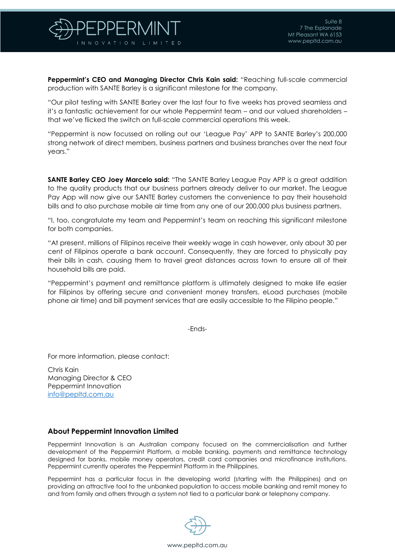

**Peppermint's CEO and Managing Director Chris Kain said:** "Reaching full-scale commercial production with SANTE Barley is a significant milestone for the company.

"Our pilot testing with SANTE Barley over the last four to five weeks has proved seamless and it's a fantastic achievement for our whole Peppermint team – and our valued shareholders – that we've flicked the switch on full-scale commercial operations this week.

"Peppermint is now focussed on rolling out our 'League Pay' APP to SANTE Barley's 200,000 strong network of direct members, business partners and business branches over the next four years."

**SANTE Barley CEO Joey Marcelo said:** "The SANTE Barley League Pay APP is a great addition to the quality products that our business partners already deliver to our market. The League Pay App will now give our SANTE Barley customers the convenience to pay their household bills and to also purchase mobile air time from any one of our 200,000 plus business partners.

"I, too, congratulate my team and Peppermint's team on reaching this significant milestone for both companies.

"At present, millions of Filipinos receive their weekly wage in cash however, only about 30 per cent of Filipinos operate a bank account. Consequently, they are forced to physically pay their bills in cash, causing them to travel great distances across town to ensure all of their household bills are paid.

"Peppermint's payment and remittance platform is ultimately designed to make life easier for Filipinos by offering secure and convenient money transfers, eLoad purchases (mobile phone air time) and bill payment services that are easily accessible to the Filipino people."

-Ends-

For more information, please contact:

Chris Kain Managing Director & CEO Peppermint Innovation [info@pepltd.com.au](mailto:info@pepltd.com.au)

## **About Peppermint Innovation Limited**

Peppermint Innovation is an Australian company focused on the commercialisation and further development of the Peppermint Platform, a mobile banking, payments and remittance technology designed for banks, mobile money operators, credit card companies and microfinance institutions. Peppermint currently operates the Peppermint Platform in the Philippines.

Peppermint has a particular focus in the developing world (starting with the Philippines) and on providing an attractive tool to the unbanked population to access mobile banking and remit money to and from family and others through a system not tied to a particular bank or telephony company.